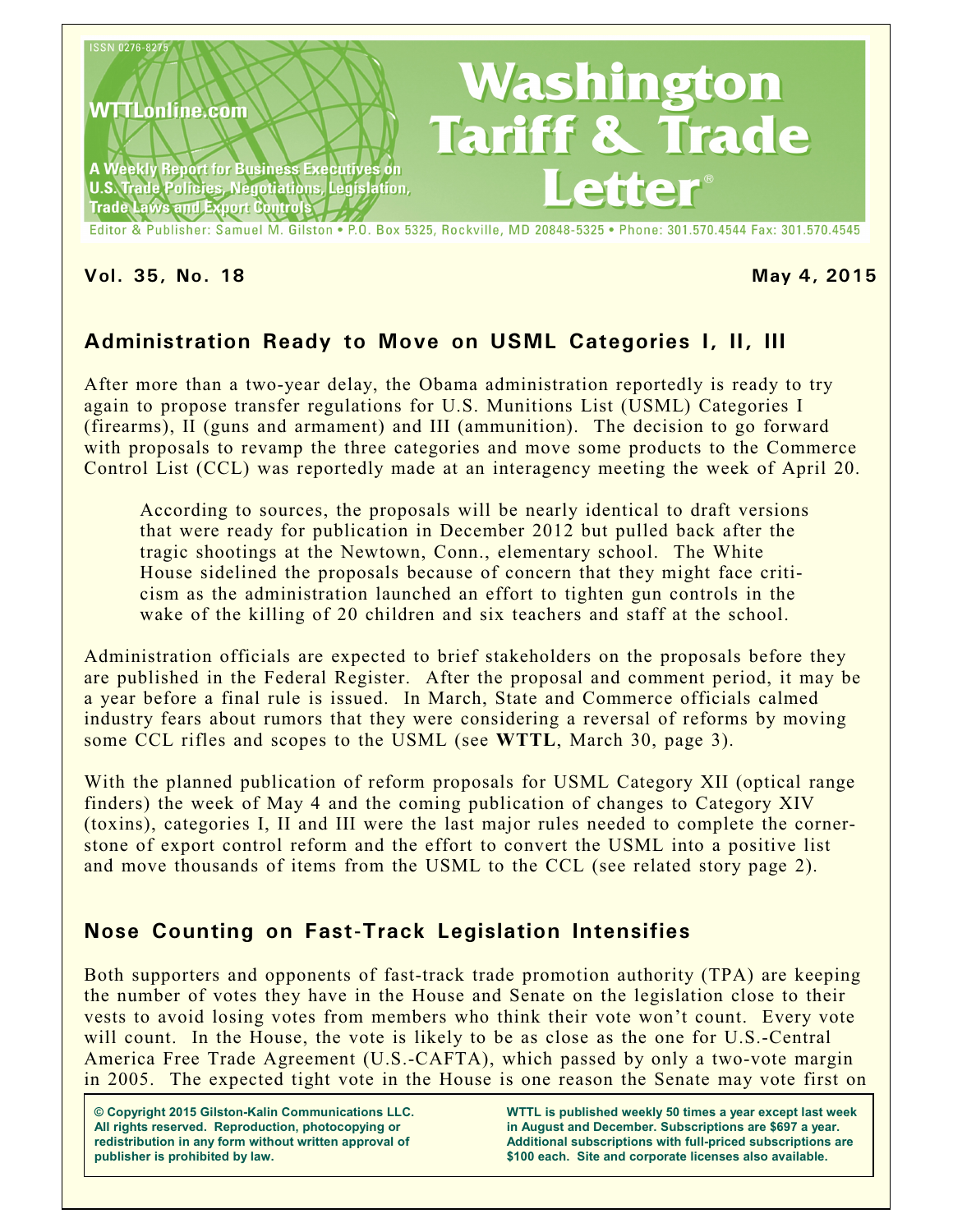

**Vol. 35, No. 18 May 4, 2015**

## **Administration Ready to Move on USML Categories I, II, III**

After more than a two-year delay, the Obama administration reportedly is ready to try again to propose transfer regulations for U.S. Munitions List (USML) Categories I (firearms), II (guns and armament) and III (ammunition). The decision to go forward with proposals to revamp the three categories and move some products to the Commerce Control List (CCL) was reportedly made at an interagency meeting the week of April 20.

According to sources, the proposals will be nearly identical to draft versions that were ready for publication in December 2012 but pulled back after the tragic shootings at the Newtown, Conn., elementary school. The White House sidelined the proposals because of concern that they might face criticism as the administration launched an effort to tighten gun controls in the wake of the killing of 20 children and six teachers and staff at the school.

Administration officials are expected to brief stakeholders on the proposals before they are published in the Federal Register. After the proposal and comment period, it may be a year before a final rule is issued. In March, State and Commerce officials calmed industry fears about rumors that they were considering a reversal of reforms by moving some CCL rifles and scopes to the USML (see **WTTL**, March 30, page 3).

With the planned publication of reform proposals for USML Category XII (optical range finders) the week of May 4 and the coming publication of changes to Category XIV (toxins), categories I, II and III were the last major rules needed to complete the cornerstone of export control reform and the effort to convert the USML into a positive list and move thousands of items from the USML to the CCL (see related story page 2).

## **Nose Counting on Fast-Track Legislation Intensifies**

Both supporters and opponents of fast-track trade promotion authority (TPA) are keeping the number of votes they have in the House and Senate on the legislation close to their vests to avoid losing votes from members who think their vote won't count. Every vote will count. In the House, the vote is likely to be as close as the one for U.S.-Central America Free Trade Agreement (U.S.-CAFTA), which passed by only a two-vote margin in 2005. The expected tight vote in the House is one reason the Senate may vote first on

**© Copyright 2015 Gilston-Kalin Communications LLC. All rights reserved. Reproduction, photocopying or redistribution in any form without written approval of publisher is prohibited by law.** 

**WTTL is published weekly 50 times a year except last week in August and December. Subscriptions are \$697 a year. Additional subscriptions with full-priced subscriptions are \$100 each. Site and corporate licenses also available.**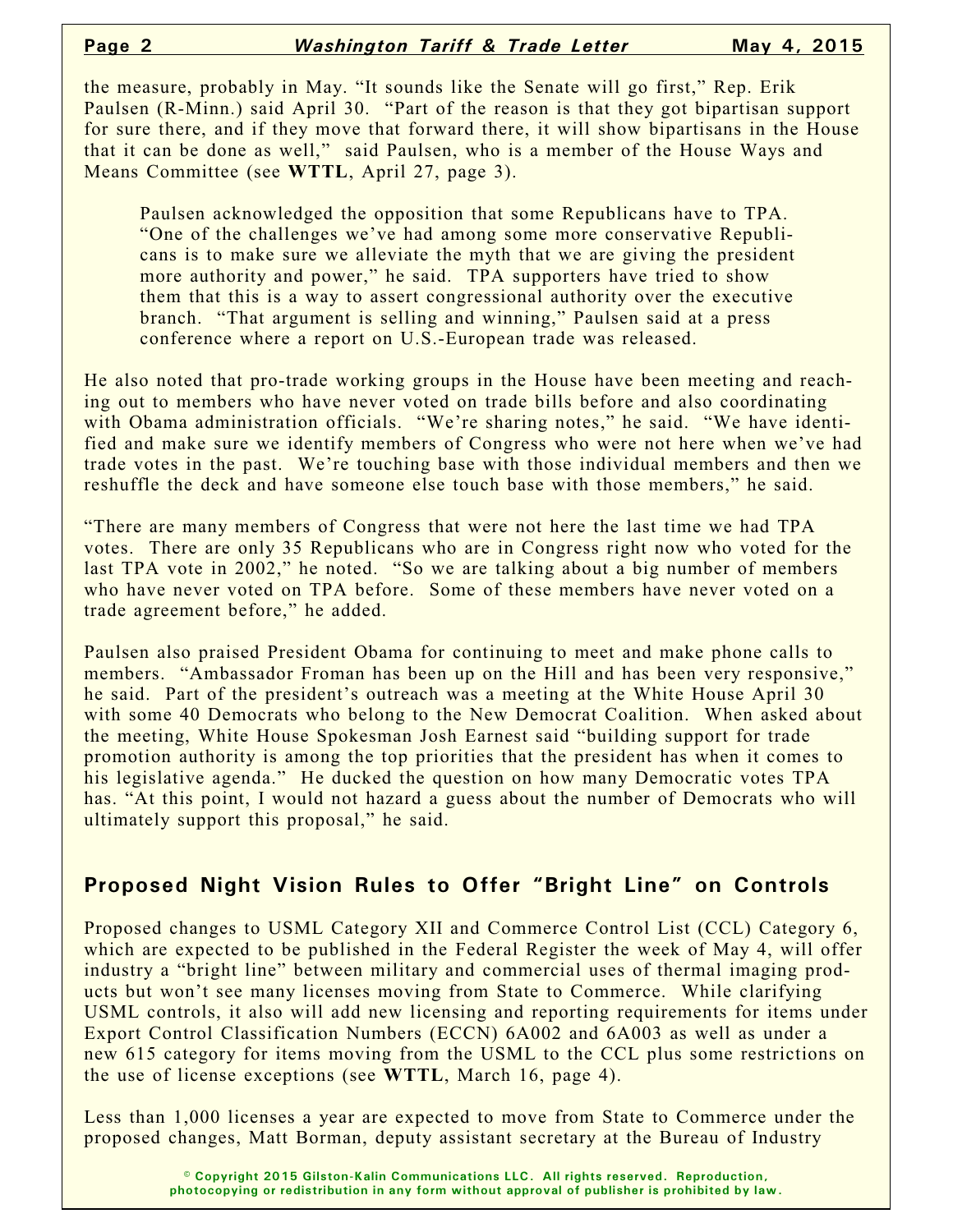the measure, probably in May. "It sounds like the Senate will go first," Rep. Erik Paulsen (R-Minn.) said April 30. "Part of the reason is that they got bipartisan support for sure there, and if they move that forward there, it will show bipartisans in the House that it can be done as well," said Paulsen, who is a member of the House Ways and Means Committee (see **WTTL**, April 27, page 3).

Paulsen acknowledged the opposition that some Republicans have to TPA. "One of the challenges we've had among some more conservative Republicans is to make sure we alleviate the myth that we are giving the president more authority and power," he said. TPA supporters have tried to show them that this is a way to assert congressional authority over the executive branch. "That argument is selling and winning," Paulsen said at a press conference where a report on U.S.-European trade was released.

He also noted that pro-trade working groups in the House have been meeting and reaching out to members who have never voted on trade bills before and also coordinating with Obama administration officials. "We're sharing notes," he said. "We have identified and make sure we identify members of Congress who were not here when we've had trade votes in the past. We're touching base with those individual members and then we reshuffle the deck and have someone else touch base with those members," he said.

"There are many members of Congress that were not here the last time we had TPA votes. There are only 35 Republicans who are in Congress right now who voted for the last TPA vote in 2002," he noted. "So we are talking about a big number of members who have never voted on TPA before. Some of these members have never voted on a trade agreement before," he added.

Paulsen also praised President Obama for continuing to meet and make phone calls to members. "Ambassador Froman has been up on the Hill and has been very responsive," he said. Part of the president's outreach was a meeting at the White House April 30 with some 40 Democrats who belong to the New Democrat Coalition. When asked about the meeting, White House Spokesman Josh Earnest said "building support for trade promotion authority is among the top priorities that the president has when it comes to his legislative agenda." He ducked the question on how many Democratic votes TPA has. "At this point, I would not hazard a guess about the number of Democrats who will ultimately support this proposal," he said.

#### **Proposed Night Vision Rules to Offer "Bright Line" on Controls**

Proposed changes to USML Category XII and Commerce Control List (CCL) Category 6, which are expected to be published in the Federal Register the week of May 4, will offer industry a "bright line" between military and commercial uses of thermal imaging products but won't see many licenses moving from State to Commerce. While clarifying USML controls, it also will add new licensing and reporting requirements for items under Export Control Classification Numbers (ECCN) 6A002 and 6A003 as well as under a new 615 category for items moving from the USML to the CCL plus some restrictions on the use of license exceptions (see **WTTL**, March 16, page 4).

Less than 1,000 licenses a year are expected to move from State to Commerce under the proposed changes, Matt Borman, deputy assistant secretary at the Bureau of Industry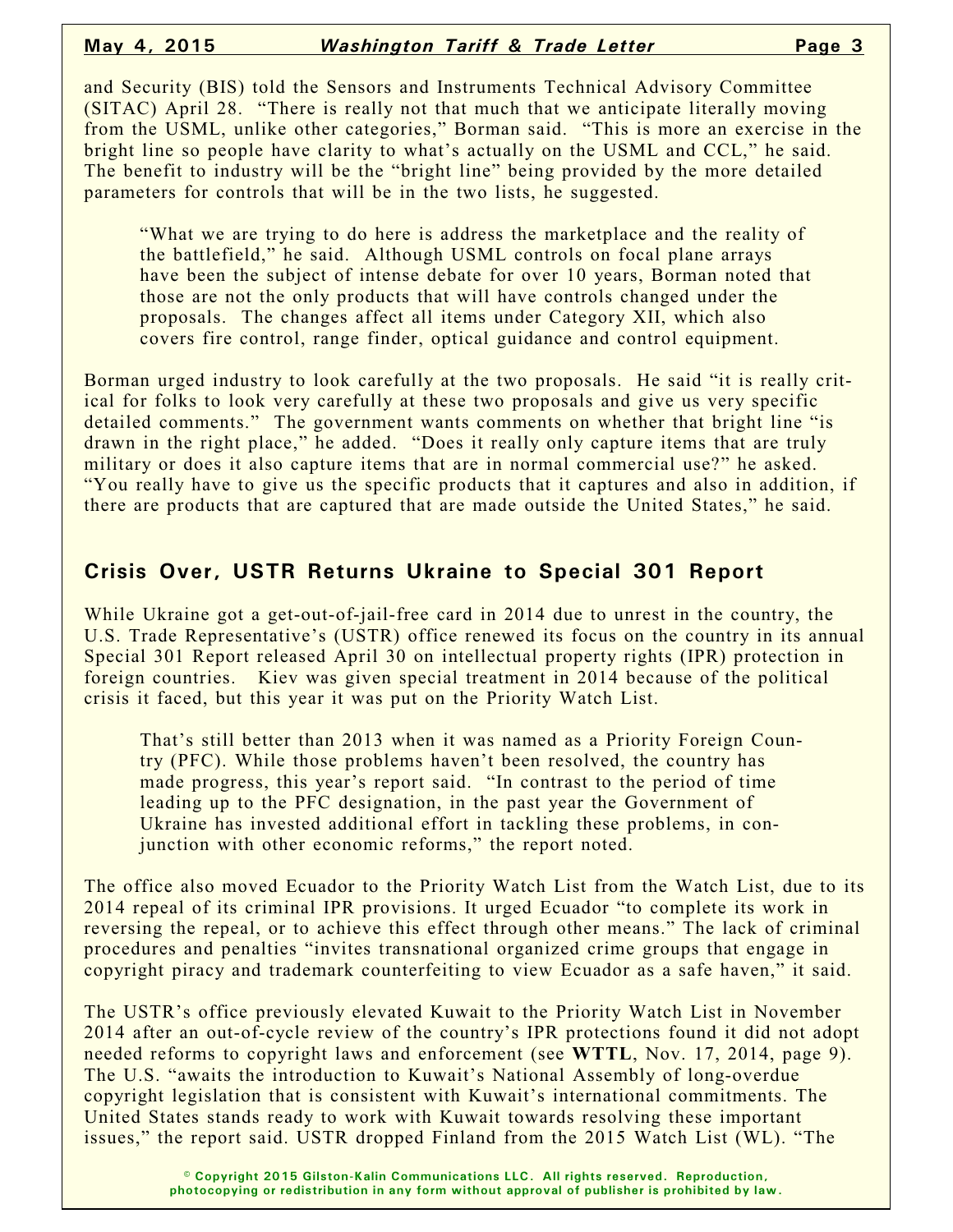and Security (BIS) told the Sensors and Instruments Technical Advisory Committee (SITAC) April 28. "There is really not that much that we anticipate literally moving from the USML, unlike other categories," Borman said. "This is more an exercise in the bright line so people have clarity to what's actually on the USML and CCL," he said. The benefit to industry will be the "bright line" being provided by the more detailed parameters for controls that will be in the two lists, he suggested.

"What we are trying to do here is address the marketplace and the reality of the battlefield," he said. Although USML controls on focal plane arrays have been the subject of intense debate for over 10 years, Borman noted that those are not the only products that will have controls changed under the proposals. The changes affect all items under Category XII, which also covers fire control, range finder, optical guidance and control equipment.

Borman urged industry to look carefully at the two proposals. He said "it is really critical for folks to look very carefully at these two proposals and give us very specific detailed comments." The government wants comments on whether that bright line "is drawn in the right place," he added. "Does it really only capture items that are truly military or does it also capture items that are in normal commercial use?" he asked. "You really have to give us the specific products that it captures and also in addition, if there are products that are captured that are made outside the United States," he said.

### **Crisis Over, USTR Returns Ukraine to Special 301 Report**

While Ukraine got a get-out-of-jail-free card in 2014 due to unrest in the country, the U.S. Trade Representative's (USTR) office renewed its focus on the country in its annual Special 301 Report released April 30 on intellectual property rights (IPR) protection in foreign countries. Kiev was given special treatment in 2014 because of the political crisis it faced, but this year it was put on the Priority Watch List.

That's still better than 2013 when it was named as a Priority Foreign Country (PFC). While those problems haven't been resolved, the country has made progress, this year's report said. "In contrast to the period of time leading up to the PFC designation, in the past year the Government of Ukraine has invested additional effort in tackling these problems, in conjunction with other economic reforms," the report noted.

The office also moved Ecuador to the Priority Watch List from the Watch List, due to its 2014 repeal of its criminal IPR provisions. It urged Ecuador "to complete its work in reversing the repeal, or to achieve this effect through other means." The lack of criminal procedures and penalties "invites transnational organized crime groups that engage in copyright piracy and trademark counterfeiting to view Ecuador as a safe haven," it said.

The USTR's office previously elevated Kuwait to the Priority Watch List in November 2014 after an out-of-cycle review of the country's IPR protections found it did not adopt needed reforms to copyright laws and enforcement (see **WTTL**, Nov. 17, 2014, page 9). The U.S. "awaits the introduction to Kuwait's National Assembly of long-overdue copyright legislation that is consistent with Kuwait's international commitments. The United States stands ready to work with Kuwait towards resolving these important issues," the report said. USTR dropped Finland from the 2015 Watch List (WL). "The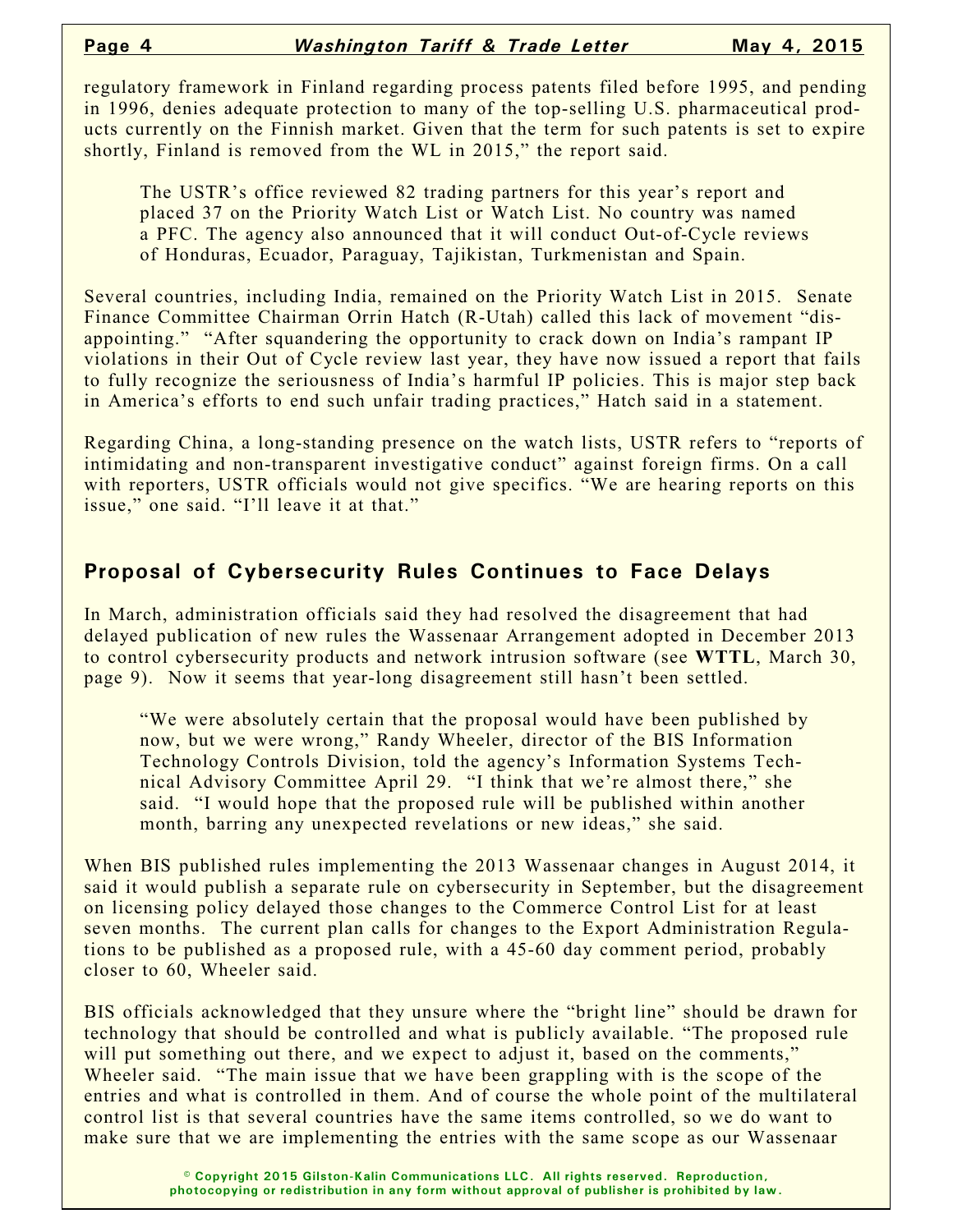regulatory framework in Finland regarding process patents filed before 1995, and pending in 1996, denies adequate protection to many of the top-selling U.S. pharmaceutical products currently on the Finnish market. Given that the term for such patents is set to expire shortly, Finland is removed from the WL in 2015," the report said.

The USTR's office reviewed 82 trading partners for this year's report and placed 37 on the Priority Watch List or Watch List. No country was named a PFC. The agency also announced that it will conduct Out-of-Cycle reviews of Honduras, Ecuador, Paraguay, Tajikistan, Turkmenistan and Spain.

Several countries, including India, remained on the Priority Watch List in 2015. Senate Finance Committee Chairman Orrin Hatch (R-Utah) called this lack of movement "disappointing." "After squandering the opportunity to crack down on India's rampant IP violations in their Out of Cycle review last year, they have now issued a report that fails to fully recognize the seriousness of India's harmful IP policies. This is major step back in America's efforts to end such unfair trading practices," Hatch said in a statement.

Regarding China, a long-standing presence on the watch lists, USTR refers to "reports of intimidating and non-transparent investigative conduct" against foreign firms. On a call with reporters, USTR officials would not give specifics. "We are hearing reports on this issue," one said. "I'll leave it at that."

### **Proposal of Cybersecurity Rules Continues to Face Delays**

In March, administration officials said they had resolved the disagreement that had delayed publication of new rules the Wassenaar Arrangement adopted in December 2013 to control cybersecurity products and network intrusion software (see **WTTL**, March 30, page 9). Now it seems that year-long disagreement still hasn't been settled.

"We were absolutely certain that the proposal would have been published by now, but we were wrong," Randy Wheeler, director of the BIS Information Technology Controls Division, told the agency's Information Systems Technical Advisory Committee April 29. "I think that we're almost there," she said. "I would hope that the proposed rule will be published within another month, barring any unexpected revelations or new ideas," she said.

When BIS published rules implementing the 2013 Wassenaar changes in August 2014, it said it would publish a separate rule on cybersecurity in September, but the disagreement on licensing policy delayed those changes to the Commerce Control List for at least seven months. The current plan calls for changes to the Export Administration Regulations to be published as a proposed rule, with a 45-60 day comment period, probably closer to 60, Wheeler said.

BIS officials acknowledged that they unsure where the "bright line" should be drawn for technology that should be controlled and what is publicly available. "The proposed rule will put something out there, and we expect to adjust it, based on the comments," Wheeler said. "The main issue that we have been grappling with is the scope of the entries and what is controlled in them. And of course the whole point of the multilateral control list is that several countries have the same items controlled, so we do want to make sure that we are implementing the entries with the same scope as our Wassenaar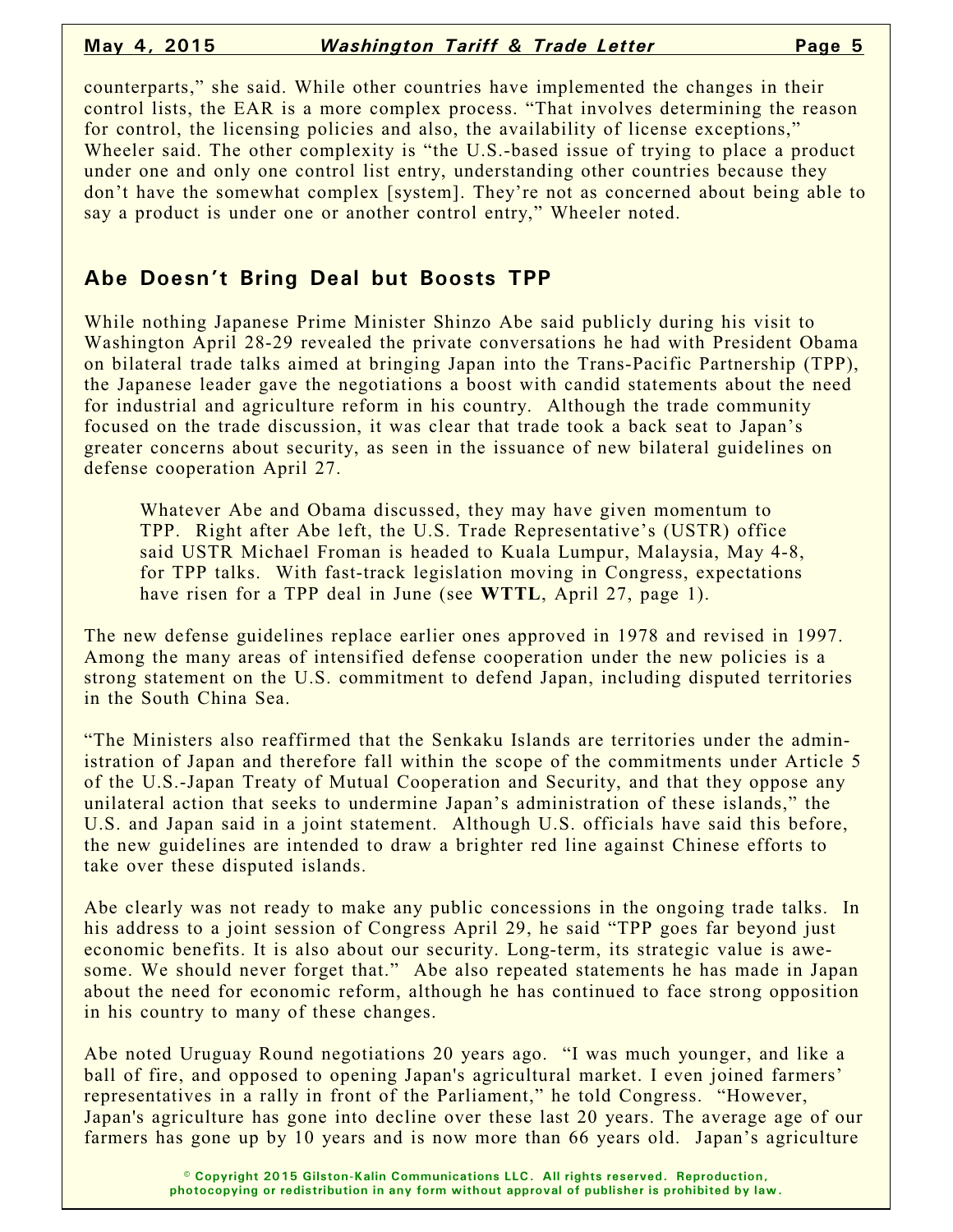counterparts," she said. While other countries have implemented the changes in their control lists, the EAR is a more complex process. "That involves determining the reason for control, the licensing policies and also, the availability of license exceptions," Wheeler said. The other complexity is "the U.S.-based issue of trying to place a product under one and only one control list entry, understanding other countries because they don't have the somewhat complex [system]. They're not as concerned about being able to say a product is under one or another control entry," Wheeler noted.

### **Abe Doesn't Bring Deal but Boosts TPP**

While nothing Japanese Prime Minister Shinzo Abe said publicly during his visit to Washington April 28-29 revealed the private conversations he had with President Obama on bilateral trade talks aimed at bringing Japan into the Trans-Pacific Partnership (TPP), the Japanese leader gave the negotiations a boost with candid statements about the need for industrial and agriculture reform in his country. Although the trade community focused on the trade discussion, it was clear that trade took a back seat to Japan's greater concerns about security, as seen in the issuance of new bilateral guidelines on defense cooperation April 27.

Whatever Abe and Obama discussed, they may have given momentum to TPP. Right after Abe left, the U.S. Trade Representative's (USTR) office said USTR Michael Froman is headed to Kuala Lumpur, Malaysia, May 4-8, for TPP talks. With fast-track legislation moving in Congress, expectations have risen for a TPP deal in June (see **WTTL**, April 27, page 1).

The new defense guidelines replace earlier ones approved in 1978 and revised in 1997. Among the many areas of intensified defense cooperation under the new policies is a strong statement on the U.S. commitment to defend Japan, including disputed territories in the South China Sea.

"The Ministers also reaffirmed that the Senkaku Islands are territories under the administration of Japan and therefore fall within the scope of the commitments under Article 5 of the U.S.-Japan Treaty of Mutual Cooperation and Security, and that they oppose any unilateral action that seeks to undermine Japan's administration of these islands," the U.S. and Japan said in a joint statement. Although U.S. officials have said this before, the new guidelines are intended to draw a brighter red line against Chinese efforts to take over these disputed islands.

Abe clearly was not ready to make any public concessions in the ongoing trade talks. In his address to a joint session of Congress April 29, he said "TPP goes far beyond just economic benefits. It is also about our security. Long-term, its strategic value is awesome. We should never forget that." Abe also repeated statements he has made in Japan about the need for economic reform, although he has continued to face strong opposition in his country to many of these changes.

Abe noted Uruguay Round negotiations 20 years ago. "I was much younger, and like a ball of fire, and opposed to opening Japan's agricultural market. I even joined farmers' representatives in a rally in front of the Parliament," he told Congress. "However, Japan's agriculture has gone into decline over these last 20 years. The average age of our farmers has gone up by 10 years and is now more than 66 years old. Japan's agriculture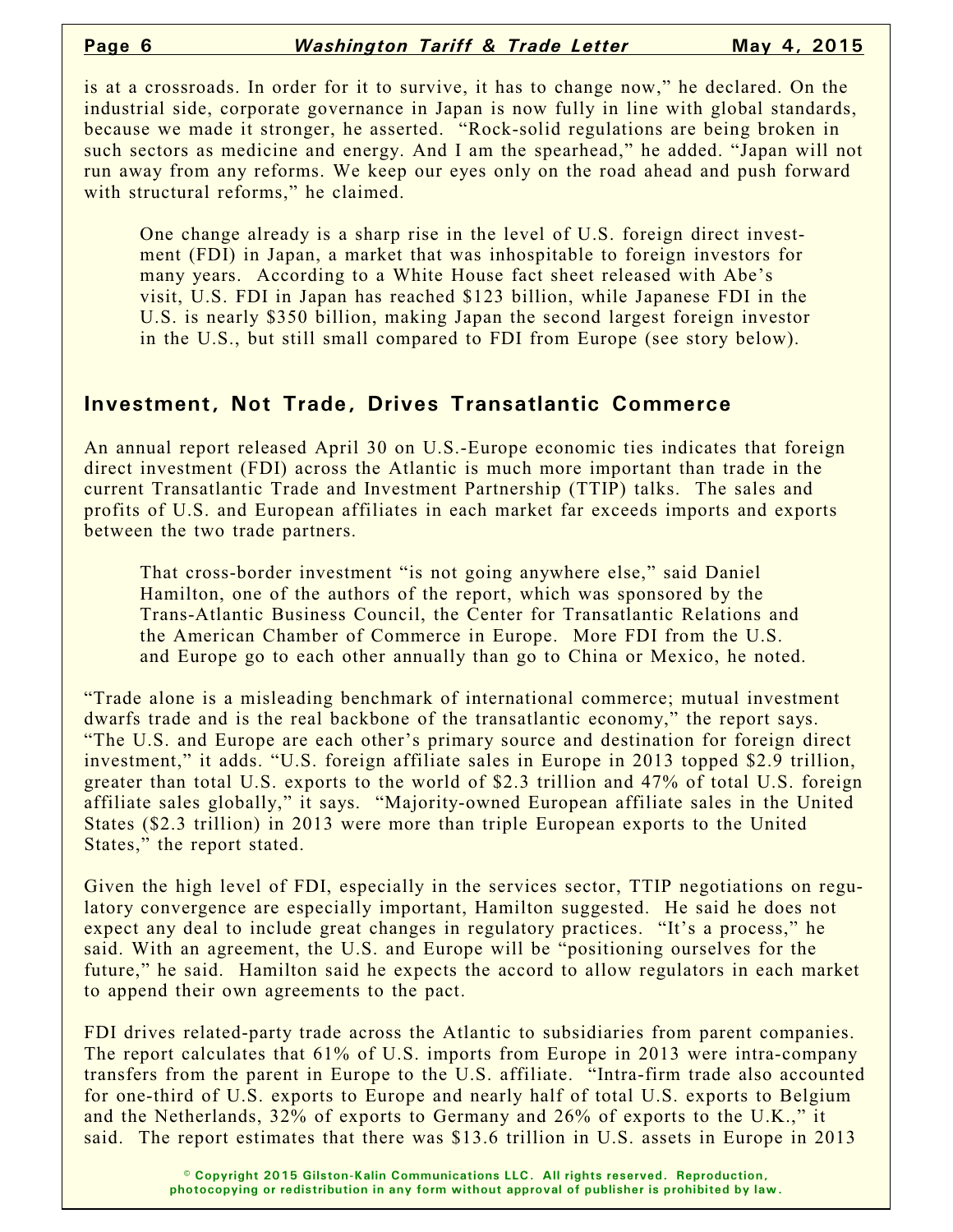is at a crossroads. In order for it to survive, it has to change now," he declared. On the industrial side, corporate governance in Japan is now fully in line with global standards, because we made it stronger, he asserted. "Rock-solid regulations are being broken in such sectors as medicine and energy. And I am the spearhead," he added. "Japan will not run away from any reforms. We keep our eyes only on the road ahead and push forward with structural reforms," he claimed.

One change already is a sharp rise in the level of U.S. foreign direct investment (FDI) in Japan, a market that was inhospitable to foreign investors for many years. According to a White House fact sheet released with Abe's visit, U.S. FDI in Japan has reached \$123 billion, while Japanese FDI in the U.S. is nearly \$350 billion, making Japan the second largest foreign investor in the U.S., but still small compared to FDI from Europe (see story below).

#### **Investment, Not Trade, Drives Transatlantic Commerce**

An annual report released April 30 on U.S.-Europe economic ties indicates that foreign direct investment (FDI) across the Atlantic is much more important than trade in the current Transatlantic Trade and Investment Partnership (TTIP) talks. The sales and profits of U.S. and European affiliates in each market far exceeds imports and exports between the two trade partners.

That cross-border investment "is not going anywhere else," said Daniel Hamilton, one of the authors of the report, which was sponsored by the Trans-Atlantic Business Council, the Center for Transatlantic Relations and the American Chamber of Commerce in Europe. More FDI from the U.S. and Europe go to each other annually than go to China or Mexico, he noted.

"Trade alone is a misleading benchmark of international commerce; mutual investment dwarfs trade and is the real backbone of the transatlantic economy," the report says. "The U.S. and Europe are each other's primary source and destination for foreign direct investment," it adds. "U.S. foreign affiliate sales in Europe in 2013 topped \$2.9 trillion, greater than total U.S. exports to the world of \$2.3 trillion and 47% of total U.S. foreign affiliate sales globally," it says. "Majority-owned European affiliate sales in the United States (\$2.3 trillion) in 2013 were more than triple European exports to the United States," the report stated.

Given the high level of FDI, especially in the services sector, TTIP negotiations on regulatory convergence are especially important, Hamilton suggested. He said he does not expect any deal to include great changes in regulatory practices. "It's a process," he said. With an agreement, the U.S. and Europe will be "positioning ourselves for the future," he said. Hamilton said he expects the accord to allow regulators in each market to append their own agreements to the pact.

FDI drives related-party trade across the Atlantic to subsidiaries from parent companies. The report calculates that 61% of U.S. imports from Europe in 2013 were intra-company transfers from the parent in Europe to the U.S. affiliate. "Intra-firm trade also accounted for one-third of U.S. exports to Europe and nearly half of total U.S. exports to Belgium and the Netherlands, 32% of exports to Germany and 26% of exports to the U.K.," it said. The report estimates that there was \$13.6 trillion in U.S. assets in Europe in 2013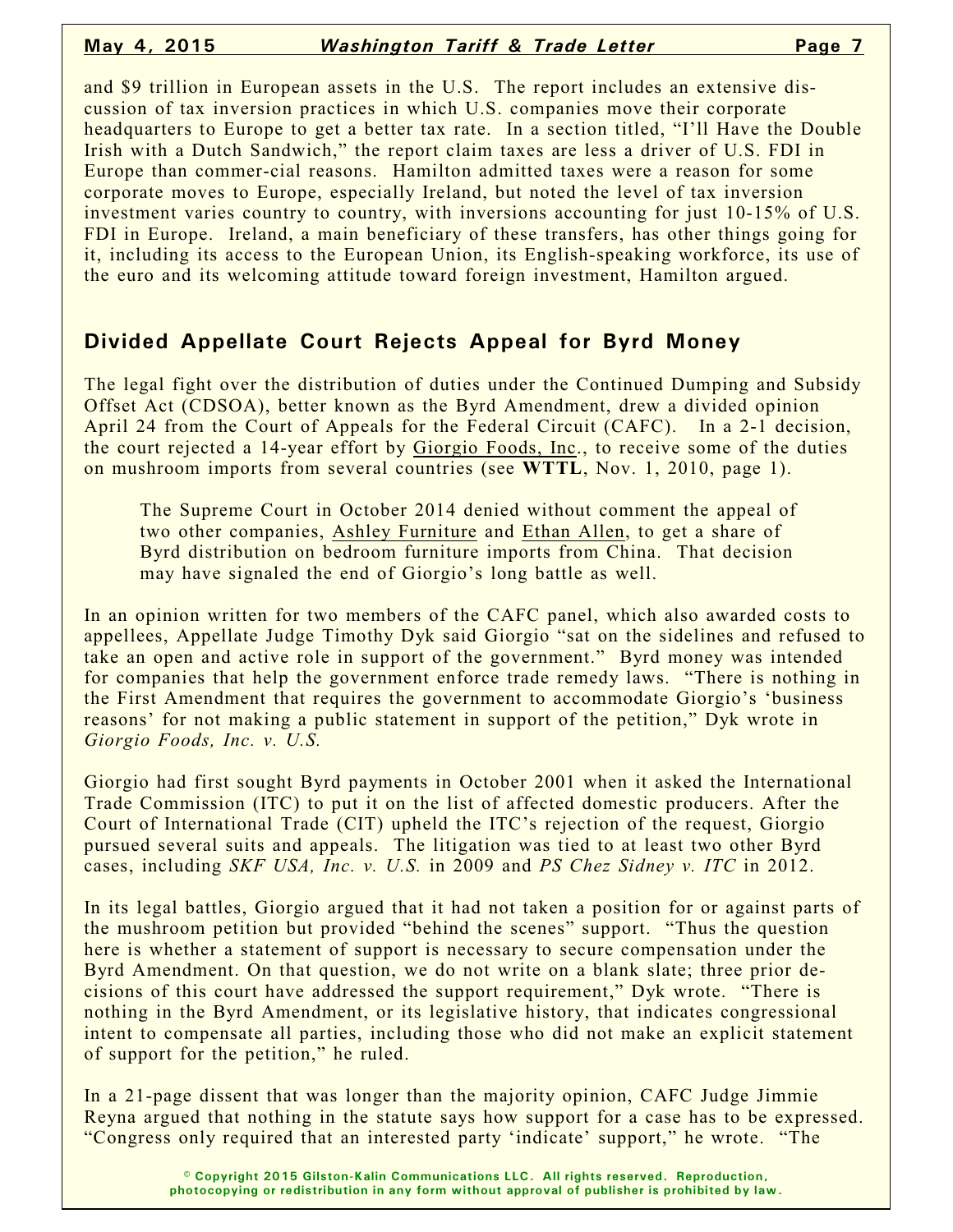and \$9 trillion in European assets in the U.S. The report includes an extensive discussion of tax inversion practices in which U.S. companies move their corporate headquarters to Europe to get a better tax rate. In a section titled, "I'll Have the Double" Irish with a Dutch Sandwich," the report claim taxes are less a driver of U.S. FDI in Europe than commer-cial reasons. Hamilton admitted taxes were a reason for some corporate moves to Europe, especially Ireland, but noted the level of tax inversion investment varies country to country, with inversions accounting for just 10-15% of U.S. FDI in Europe. Ireland, a main beneficiary of these transfers, has other things going for it, including its access to the European Union, its English-speaking workforce, its use of the euro and its welcoming attitude toward foreign investment, Hamilton argued.

#### **Divided Appellate Court Rejects Appeal for Byrd Money**

The legal fight over the distribution of duties under the Continued Dumping and Subsidy Offset Act (CDSOA), better known as the Byrd Amendment, drew a divided opinion April 24 from the Court of Appeals for the Federal Circuit (CAFC). In a 2-1 decision, the court rejected a 14-year effort by Giorgio Foods, Inc., to receive some of the duties on mushroom imports from several countries (see **WTTL**, Nov. 1, 2010, page 1).

The Supreme Court in October 2014 denied without comment the appeal of two other companies, Ashley Furniture and Ethan Allen, to get a share of Byrd distribution on bedroom furniture imports from China. That decision may have signaled the end of Giorgio's long battle as well.

In an opinion written for two members of the CAFC panel, which also awarded costs to appellees, Appellate Judge Timothy Dyk said Giorgio "sat on the sidelines and refused to take an open and active role in support of the government." Byrd money was intended for companies that help the government enforce trade remedy laws. "There is nothing in the First Amendment that requires the government to accommodate Giorgio's 'business reasons' for not making a public statement in support of the petition," Dyk wrote in *Giorgio Foods, Inc. v. U.S.*

Giorgio had first sought Byrd payments in October 2001 when it asked the International Trade Commission (ITC) to put it on the list of affected domestic producers. After the Court of International Trade (CIT) upheld the ITC's rejection of the request, Giorgio pursued several suits and appeals. The litigation was tied to at least two other Byrd cases, including *SKF USA, Inc. v. U.S.* in 2009 and *PS Chez Sidney v. ITC* in 2012.

In its legal battles, Giorgio argued that it had not taken a position for or against parts of the mushroom petition but provided "behind the scenes" support. "Thus the question here is whether a statement of support is necessary to secure compensation under the Byrd Amendment. On that question, we do not write on a blank slate; three prior decisions of this court have addressed the support requirement," Dyk wrote. "There is nothing in the Byrd Amendment, or its legislative history, that indicates congressional intent to compensate all parties, including those who did not make an explicit statement of support for the petition," he ruled.

In a 21-page dissent that was longer than the majority opinion, CAFC Judge Jimmie Reyna argued that nothing in the statute says how support for a case has to be expressed. "Congress only required that an interested party 'indicate' support," he wrote. "The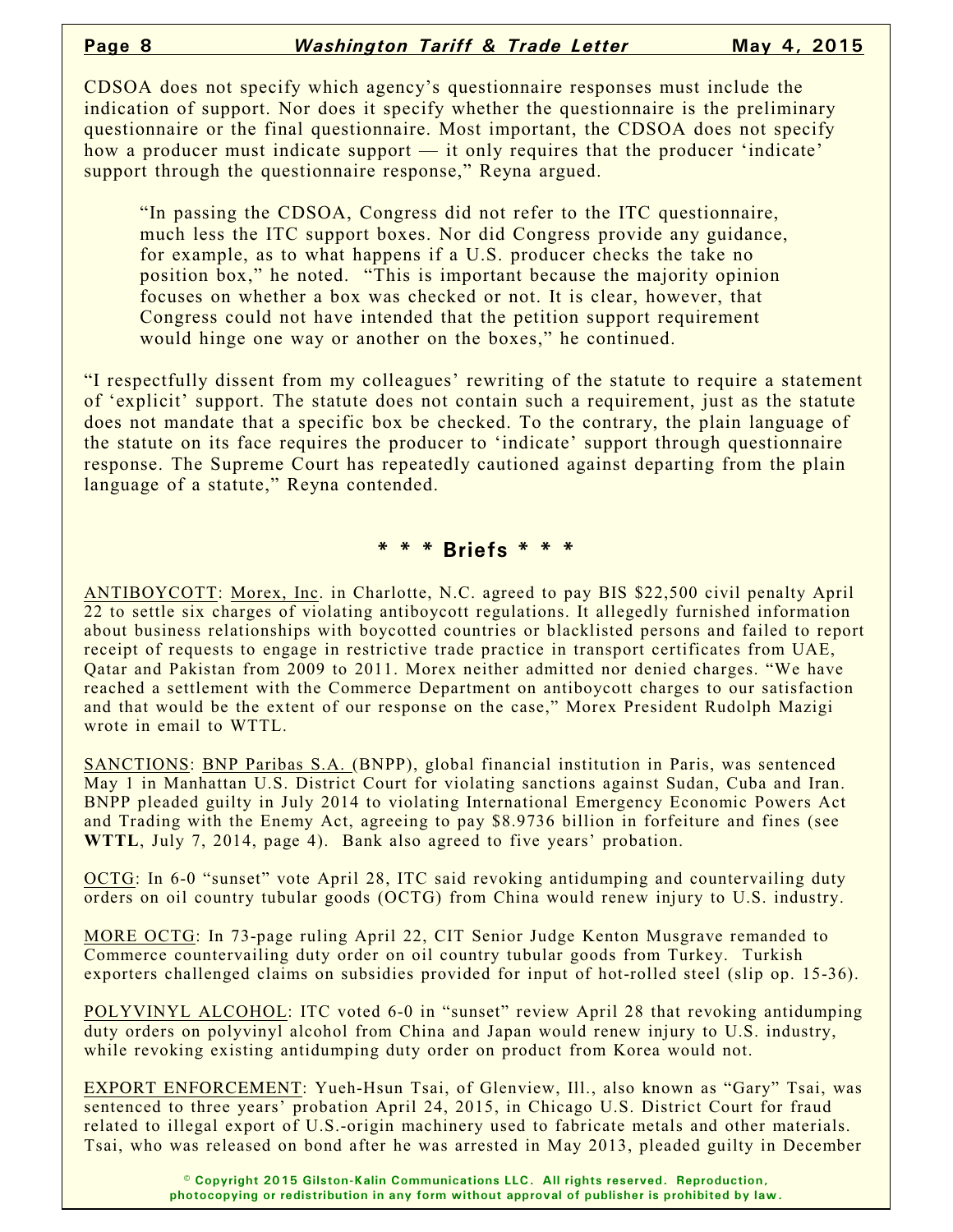CDSOA does not specify which agency's questionnaire responses must include the indication of support. Nor does it specify whether the questionnaire is the preliminary questionnaire or the final questionnaire. Most important, the CDSOA does not specify how a producer must indicate support — it only requires that the producer 'indicate' support through the questionnaire response," Reyna argued.

"In passing the CDSOA, Congress did not refer to the ITC questionnaire, much less the ITC support boxes. Nor did Congress provide any guidance, for example, as to what happens if a U.S. producer checks the take no position box," he noted. "This is important because the majority opinion focuses on whether a box was checked or not. It is clear, however, that Congress could not have intended that the petition support requirement would hinge one way or another on the boxes," he continued.

"I respectfully dissent from my colleagues' rewriting of the statute to require a statement of 'explicit' support. The statute does not contain such a requirement, just as the statute does not mandate that a specific box be checked. To the contrary, the plain language of the statute on its face requires the producer to 'indicate' support through questionnaire response. The Supreme Court has repeatedly cautioned against departing from the plain language of a statute," Reyna contended.

#### **\* \* \* Briefs \* \* \***

ANTIBOYCOTT: Morex, Inc. in Charlotte, N.C. agreed to pay BIS \$22,500 civil penalty April 22 to settle six charges of violating antiboycott regulations. It allegedly furnished information about business relationships with boycotted countries or blacklisted persons and failed to report receipt of requests to engage in restrictive trade practice in transport certificates from UAE, Qatar and Pakistan from 2009 to 2011. Morex neither admitted nor denied charges. "We have reached a settlement with the Commerce Department on antiboycott charges to our satisfaction and that would be the extent of our response on the case," Morex President Rudolph Mazigi wrote in email to WTTL.

SANCTIONS: BNP Paribas S.A. (BNPP), global financial institution in Paris, was sentenced May 1 in Manhattan U.S. District Court for violating sanctions against Sudan, Cuba and Iran. BNPP pleaded guilty in July 2014 to violating International Emergency Economic Powers Act and Trading with the Enemy Act, agreeing to pay \$8.9736 billion in forfeiture and fines (see **WTTL**, July 7, 2014, page 4). Bank also agreed to five years' probation.

OCTG: In 6-0 "sunset" vote April 28, ITC said revoking antidumping and countervailing duty orders on oil country tubular goods (OCTG) from China would renew injury to U.S. industry.

MORE OCTG: In 73-page ruling April 22, CIT Senior Judge Kenton Musgrave remanded to Commerce countervailing duty order on oil country tubular goods from Turkey. Turkish exporters challenged claims on subsidies provided for input of hot-rolled steel (slip op. 15-36).

POLYVINYL ALCOHOL: ITC voted 6-0 in "sunset" review April 28 that revoking antidumping duty orders on polyvinyl alcohol from China and Japan would renew injury to U.S. industry, while revoking existing antidumping duty order on product from Korea would not.

EXPORT ENFORCEMENT: Yueh-Hsun Tsai, of Glenview, Ill., also known as "Gary" Tsai, was sentenced to three years' probation April 24, 2015, in Chicago U.S. District Court for fraud related to illegal export of U.S.-origin machinery used to fabricate metals and other materials. Tsai, who was released on bond after he was arrested in May 2013, pleaded guilty in December